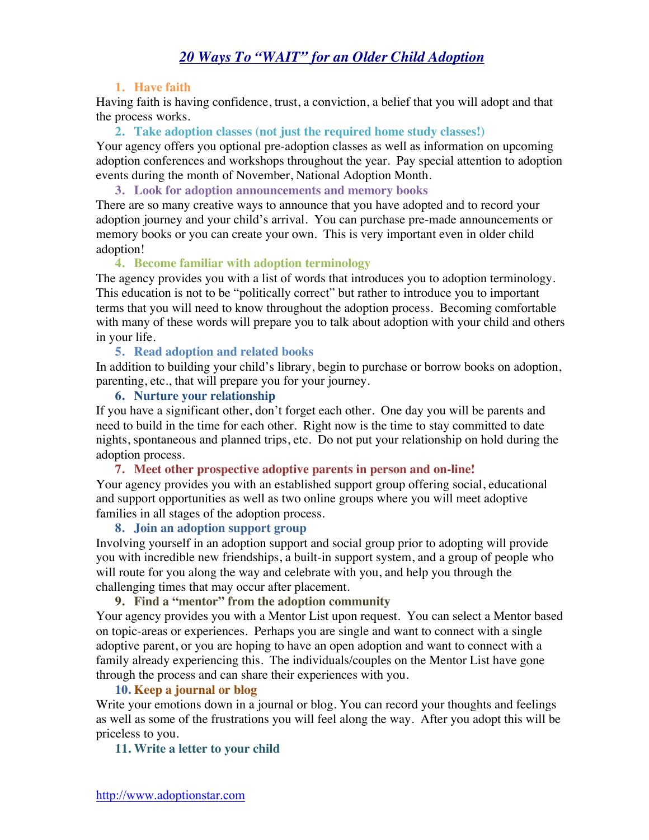# *20 Ways To "WAIT" for an Older Child Adoption*

## **1. Have faith**

Having faith is having confidence, trust, a conviction, a belief that you will adopt and that the process works.

**2. Take adoption classes (not just the required home study classes!)**

Your agency offers you optional pre-adoption classes as well as information on upcoming adoption conferences and workshops throughout the year. Pay special attention to adoption events during the month of November, National Adoption Month.

**3. Look for adoption announcements and memory books**

There are so many creative ways to announce that you have adopted and to record your adoption journey and your child's arrival. You can purchase pre-made announcements or memory books or you can create your own. This is very important even in older child adoption!

## **4. Become familiar with adoption terminology**

The agency provides you with a list of words that introduces you to adoption terminology. This education is not to be "politically correct" but rather to introduce you to important terms that you will need to know throughout the adoption process. Becoming comfortable with many of these words will prepare you to talk about adoption with your child and others in your life.

#### **5. Read adoption and related books**

In addition to building your child's library, begin to purchase or borrow books on adoption, parenting, etc., that will prepare you for your journey.

#### **6. Nurture your relationship**

If you have a significant other, don't forget each other. One day you will be parents and need to build in the time for each other. Right now is the time to stay committed to date nights, spontaneous and planned trips, etc. Do not put your relationship on hold during the adoption process.

**7. Meet other prospective adoptive parents in person and on-line!**

Your agency provides you with an established support group offering social, educational and support opportunities as well as two online groups where you will meet adoptive families in all stages of the adoption process.

#### **8. Join an adoption support group**

Involving yourself in an adoption support and social group prior to adopting will provide you with incredible new friendships, a built-in support system, and a group of people who will route for you along the way and celebrate with you, and help you through the challenging times that may occur after placement.

### **9. Find a "mentor" from the adoption community**

Your agency provides you with a Mentor List upon request. You can select a Mentor based on topic-areas or experiences. Perhaps you are single and want to connect with a single adoptive parent, or you are hoping to have an open adoption and want to connect with a family already experiencing this. The individuals/couples on the Mentor List have gone through the process and can share their experiences with you.

## **10. Keep a journal or blog**

Write your emotions down in a journal or blog. You can record your thoughts and feelings as well as some of the frustrations you will feel along the way. After you adopt this will be priceless to you.

#### **11. Write a letter to your child**